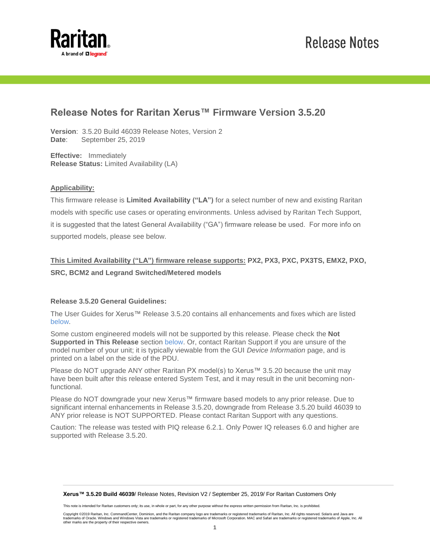

## **Release Notes for Raritan Xerus™ Firmware Version 3.5.20**

**Version**: 3.5.20 Build 46039 Release Notes, Version 2 **Date**: September 25, 2019

**Effective:** Immediately **Release Status:** Limited Availability (LA)

### **Applicability:**

This firmware release is **Limited Availability ("LA")** for a select number of new and existing Raritan models with specific use cases or operating environments. Unless advised by Raritan Tech Support, it is suggested that the latest General Availability ("GA") firmware release be used. For more info on supported models, please see below.

### **This Limited Availability ("LA") firmware release supports: PX2, PX3, PXC, PX3TS, EMX2, PXO, SRC, BCM2 and Legrand Switched/Metered models**

### **Release 3.5.20 General Guidelines:**

The User Guides for Xerus™ Release 3.5.20 contains all enhancements and fixes which are listed [below.](#page-1-0)

Some custom engineered models will not be supported by this release. Please check the **Not Supported in This Release** section [below.](#page-1-1) Or, contact Raritan Support if you are unsure of the model number of your unit; it is typically viewable from the GUI *Device Information* page, and is printed on a label on the side of the PDU.

Please do NOT upgrade ANY other Raritan PX model(s) to Xerus™ 3.5.20 because the unit may have been built after this release entered System Test, and it may result in the unit becoming nonfunctional.

Please do NOT downgrade your new Xerus™ firmware based models to any prior release. Due to significant internal enhancements in Release 3.5.20, downgrade from Release 3.5.20 build 46039 to ANY prior release is NOT SUPPORTED. Please contact Raritan Support with any questions.

Caution: The release was tested with PIQ release 6.2.1. Only Power IQ releases 6.0 and higher are supported with Release 3.5.20.

#### **Xerus™ 3.5.20 Build 46039**/ Release Notes, Revision V2 / September 25, 2019/ For Raritan Customers Only

This note is intended for Raritan customers only; its use, in whole or part, for any other purpose without the express written permission from Raritan, Inc. is prohibited.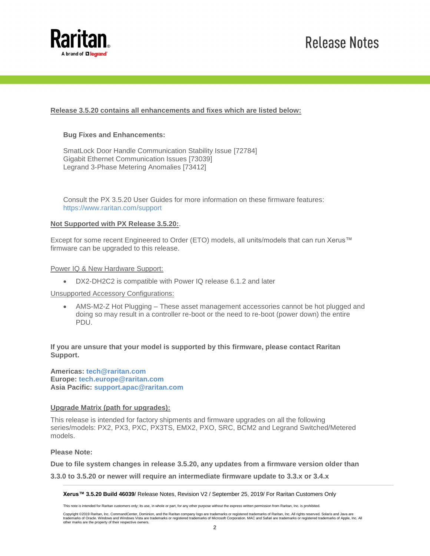

# **Release Notes**

### <span id="page-1-0"></span>**Release 3.5.20 contains all enhancements and fixes which are listed below:**

#### **Bug Fixes and Enhancements:**

SmatLock Door Handle Communication Stability Issue [72784] Gigabit Ethernet Communication Issues [73039] Legrand 3-Phase Metering Anomalies [73412]

Consult the PX 3.5.20 User Guides for more information on these firmware features: <https://www.raritan.com/support>

#### <span id="page-1-1"></span>**Not Supported with PX Release 3.5.20:**.

Except for some recent Engineered to Order (ETO) models, all units/models that can run Xerus™ firmware can be upgraded to this release.

Power IQ & New Hardware Support:

DX2-DH2C2 is compatible with Power IQ release 6.1.2 and later

Unsupported Accessory Configurations:

 AMS-M2-Z Hot Plugging – These asset management accessories cannot be hot plugged and doing so may result in a controller re-boot or the need to re-boot (power down) the entire PDU.

**If you are unsure that your model is supported by this firmware, please contact Raritan Support.**

**Americas: [tech@raritan.com](mailto:tech@raritan.com?subject=PX%203.3.20%20Firmware) Europe: [tech.europe@raritan.com](mailto:tech.europe@raritan.com?subject=PX%203.3.20%20Firmware) Asia Pacific: [support.apac@raritan.com](mailto:support.apac@raritan.com?subject=PX%203.3.20%20Firmware)**

#### **Upgrade Matrix (path for upgrades):**

This release is intended for factory shipments and firmware upgrades on all the following series/models: PX2, PX3, PXC, PX3TS, EMX2, PXO, SRC, BCM2 and Legrand Switched/Metered models.

**Please Note:**

**Due to file system changes in release 3.5.20, any updates from a firmware version older than** 

**3.3.0 to 3.5.20 or newer will require an intermediate firmware update to 3.3.x or 3.4.x**

#### **Xerus™ 3.5.20 Build 46039**/ Release Notes, Revision V2 / September 25, 2019/ For Raritan Customers Only

This note is intended for Raritan customers only; its use, in whole or part, for any other purpose without the express written permission from Raritan, Inc. is prohibited.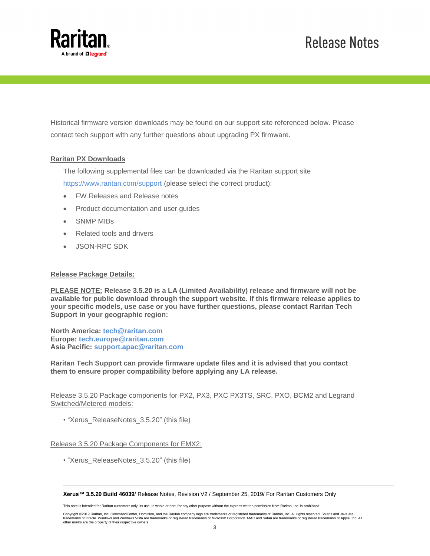

# **Release Notes**

Historical firmware version downloads may be found on our support site referenced below. Please contact tech support with any further questions about upgrading PX firmware.

### **Raritan PX Downloads**

The following supplemental files can be downloaded via the Raritan support site <https://www.raritan.com/support> (please select the correct product):

- FW Releases and Release notes
- Product documentation and user guides
- SNMP MIBs
- Related tools and drivers
- JSON-RPC SDK

#### **Release Package Details:**

**PLEASE NOTE: Release 3.5.20 is a LA (Limited Availability) release and firmware will not be available for public download through the support website. If this firmware release applies to your specific models, use case or you have further questions, please contact Raritan Tech Support in your geographic region:**

**North America: [tech@raritan.com](mailto:tech@raritan.com?subject=PX%203.3.20%20Firmware) Europe: [tech.europe@raritan.com](mailto:tech.europe@raritan.com?subject=PX%203.3.20%20Firmware) Asia Pacific: [support.apac@raritan.com](mailto:support.apac@raritan.com?subject=PX%203.3.20%20Firmware)**

**Raritan Tech Support can provide firmware update files and it is advised that you contact them to ensure proper compatibility before applying any LA release.**

Release 3.5.20 Package components for PX2, PX3, PXC PX3TS, SRC, PXO, BCM2 and Legrand Switched/Metered models:

• "Xerus\_ReleaseNotes\_3.5.20" (this file)

#### Release 3.5.20 Package Components for EMX2:

• "Xerus\_ReleaseNotes\_3.5.20" (this file)

**Xerus™ 3.5.20 Build 46039**/ Release Notes, Revision V2 / September 25, 2019/ For Raritan Customers Only

This note is intended for Raritan customers only; its use, in whole or part, for any other purpose without the express written permission from Raritan, Inc. is prohibited.